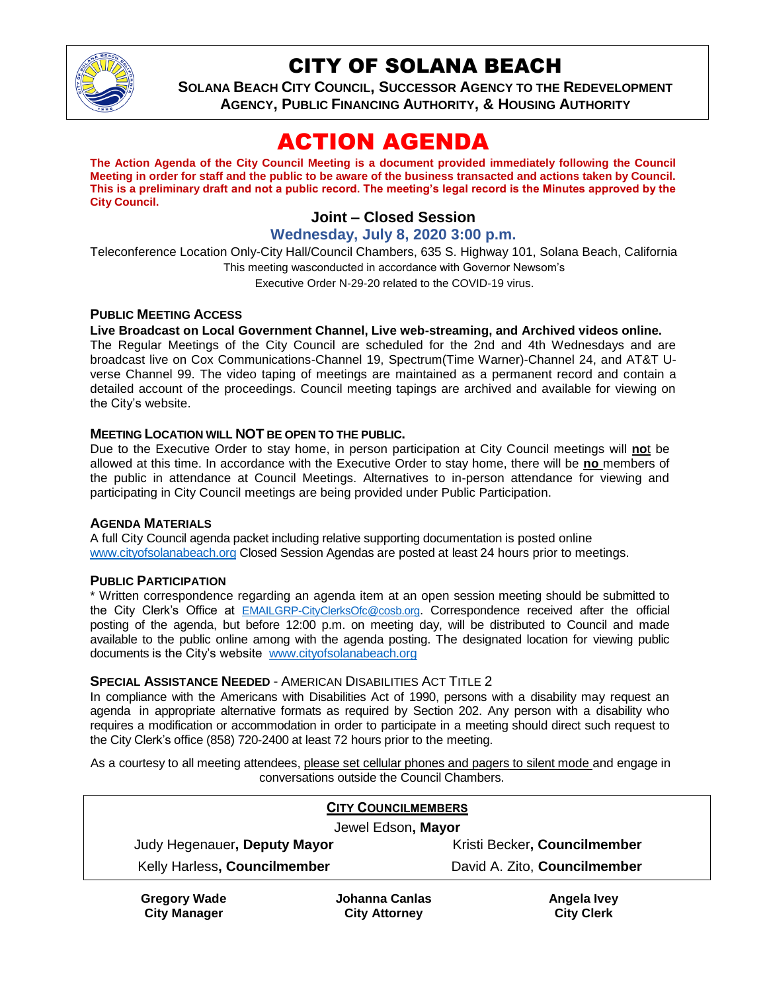

## CITY OF SOLANA BEACH

**SOLANA BEACH CITY COUNCIL, SUCCESSOR AGENCY TO THE REDEVELOPMENT AGENCY, PUBLIC FINANCING AUTHORITY, & HOUSING AUTHORITY**

# ACTION AGENDA

**The Action Agenda of the City Council Meeting is a document provided immediately following the Council Meeting in order for staff and the public to be aware of the business transacted and actions taken by Council. This is a preliminary draft and not a public record. The meeting's legal record is the Minutes approved by the City Council.**

## **Joint – Closed Session**

#### **Wednesday, July 8, 2020 3:00 p.m.**

Teleconference Location Only-City Hall/Council Chambers, 635 S. Highway 101, Solana Beach, California This meeting wasconducted in accordance with Governor Newsom's Executive Order N-29-20 related to the COVID-19 virus.

#### **PUBLIC MEETING ACCESS**

#### **Live Broadcast on Local Government Channel, Live web-streaming, and Archived videos online.**

The Regular Meetings of the City Council are scheduled for the 2nd and 4th Wednesdays and are broadcast live on Cox Communications-Channel 19, Spectrum(Time Warner)-Channel 24, and AT&T Uverse Channel 99. The video taping of meetings are maintained as a permanent record and contain a detailed account of the proceedings. Council meeting tapings are archived and available for viewing on the City's website.

#### **MEETING LOCATION WILL NOT BE OPEN TO THE PUBLIC.**

Due to the Executive Order to stay home, in person participation at City Council meetings will **no**t be allowed at this time. In accordance with the Executive Order to stay home, there will be **no** members of the public in attendance at Council Meetings. Alternatives to in-person attendance for viewing and participating in City Council meetings are being provided under Public Participation.

#### **AGENDA MATERIALS**

A full City Council agenda packet including relative supporting documentation is posted online [www.cityofsolanabeach.org](https://urldefense.proofpoint.com/v2/url?u=http-3A__www.cityofsolanabeach.org&d=DwQFAg&c=euGZstcaTDllvimEN8b7jXrwqOf-v5A_CdpgnVfiiMM&r=1XAsCUuqwK_tji2t0s1uIQ&m=wny2RVfZJ2tN24LkqZmkUWNpwL_peNtTZUBlTBZiMM4&s=6ATguqxJUOD7VVtloplAbyuyNaVcEh6Fl4q1iw55lCY&e=) Closed Session Agendas are posted at least 24 hours prior to meetings.

#### **PUBLIC PARTICIPATION**

\* Written correspondence regarding an agenda item at an open session meeting should be submitted to the City Clerk's Office at [EMAILGRP-CityClerksOfc@cosb.org](mailto:EMAILGRP-CityClerksOfc@cosb.org). Correspondence received after the official posting of the agenda, but before 12:00 p.m. on meeting day, will be distributed to Council and made available to the public online among with the agenda posting. The designated location for viewing public documents is the City's website [www.cityofsolanabeach.org](http://www.cityofsolanabeach.org/)

#### **SPECIAL ASSISTANCE NEEDED** - AMERICAN DISABILITIES ACT TITLE 2

In compliance with the Americans with Disabilities Act of 1990, persons with a disability may request an agenda in appropriate alternative formats as required by Section 202. Any person with a disability who requires a modification or accommodation in order to participate in a meeting should direct such request to the City Clerk's office (858) 720-2400 at least 72 hours prior to the meeting.

As a courtesy to all meeting attendees, please set cellular phones and pagers to silent mode and engage in conversations outside the Council Chambers.

| <b>CITY COUNCILMEMBERS</b>   |                |                              |
|------------------------------|----------------|------------------------------|
| Jewel Edson, Mayor           |                |                              |
| Judy Hegenauer, Deputy Mayor |                | Kristi Becker, Councilmember |
| Kelly Harless, Councilmember |                | David A. Zito, Councilmember |
| <b>Gregory Wade</b>          | Johanna Canlas | Angela Ivey                  |

**City Manager**

**Johanna Canlas City Attorney**

**Angela Ivey City Clerk**